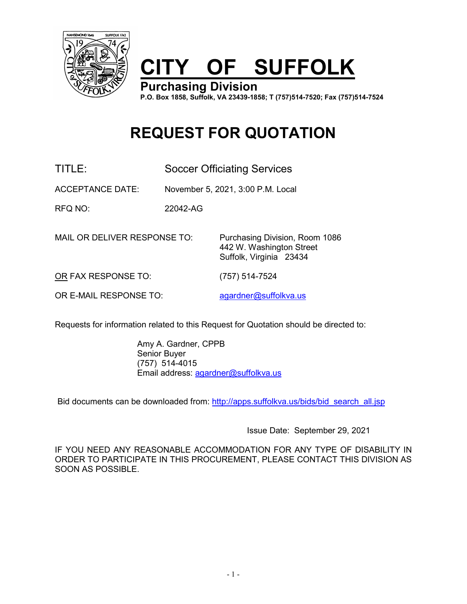

# **CITY OF SUFFOLK**

**Purchasing Division P.O. Box 1858, Suffolk, VA 23439-1858; T (757)514-7520; Fax (757)514-7524**

> 442 W. Washington Street Suffolk, Virginia 23434

## **REQUEST FOR QUOTATION**

TITLE: Soccer Officiating Services

ACCEPTANCE DATE: November 5, 2021, 3:00 P.M. Local

RFQ NO: 22042-AG

MAIL OR DELIVER RESPONSE TO: Purchasing Division, Room 1086

OR FAX RESPONSE TO: (757) 514-7524

OR E-MAIL RESPONSE TO: [agardner@suffolkva.us](mailto:agardner@suffolkva.us)

Requests for information related to this Request for Quotation should be directed to:

Amy A. Gardner, CPPB Senior Buyer (757) 514-4015 Email address: [agardner@suffolkva.us](mailto:agardner@suffolkva.us)

Bid documents can be downloaded from: [http://apps.suffolkva.us/bids/bid\\_search\\_all.jsp](http://apps.suffolkva.us/bids/bid_search_all.jsp)

Issue Date: September 29, 2021

IF YOU NEED ANY REASONABLE ACCOMMODATION FOR ANY TYPE OF DISABILITY IN ORDER TO PARTICIPATE IN THIS PROCUREMENT, PLEASE CONTACT THIS DIVISION AS SOON AS POSSIBLE.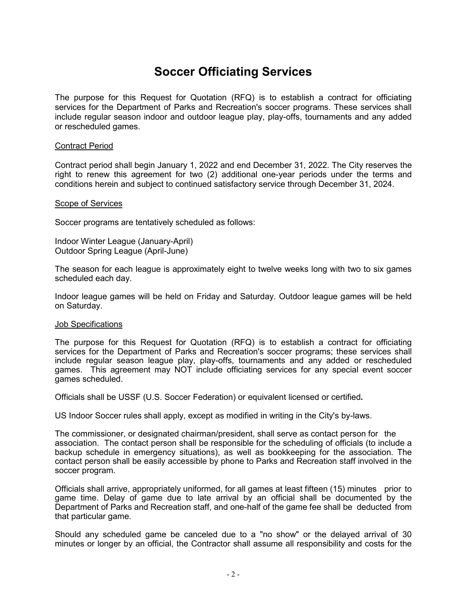## **Soccer Officiating Services**

The purpose for this Request for Quotation (RFQ) is to establish a contract for officiating services for the Department of Parks and Recreation's soccer programs. These services shall include regular season indoor and outdoor league play, play-offs, tournaments and any added or rescheduled games.

#### Contract Period

Contract period shall begin January 1, 2022 and end December 31, 2022. The City reserves the right to renew this agreement for two (2) additional one-year periods under the terms and conditions herein and subject to continued satisfactory service through December 31, 2024.

#### Scope of Services

Soccer programs are tentatively scheduled as follows:

Indoor Winter League (January-April) Outdoor Spring League (April-June)

The season for each league is approximately eight to twelve weeks long with two to six games scheduled each day.

Indoor league games will be held on Friday and Saturday. Outdoor league games will be held on Saturday.

#### Job Specifications

The purpose for this Request for Quotation (RFQ) is to establish a contract for officiating services for the Department of Parks and Recreation's soccer programs; these services shall include regular season league play, play-offs, tournaments and any added or rescheduled games. This agreement may NOT include officiating services for any special event soccer games scheduled.

Officials shall be USSF (U.S. Soccer Federation) or equivalent licensed or certified**.**

US Indoor Soccer rules shall apply, except as modified in writing in the City's by-laws.

The commissioner, or designated chairman/president, shall serve as contact person for the association. The contact person shall be responsible for the scheduling of officials (to include a backup schedule in emergency situations), as well as bookkeeping for the association. The contact person shall be easily accessible by phone to Parks and Recreation staff involved in the soccer program.

Officials shall arrive, appropriately uniformed, for all games at least fifteen (15) minutes prior to game time. Delay of game due to late arrival by an official shall be documented by the Department of Parks and Recreation staff, and one-half of the game fee shall be deducted from that particular game.

Should any scheduled game be canceled due to a "no show" or the delayed arrival of 30 minutes or longer by an official, the Contractor shall assume all responsibility and costs for the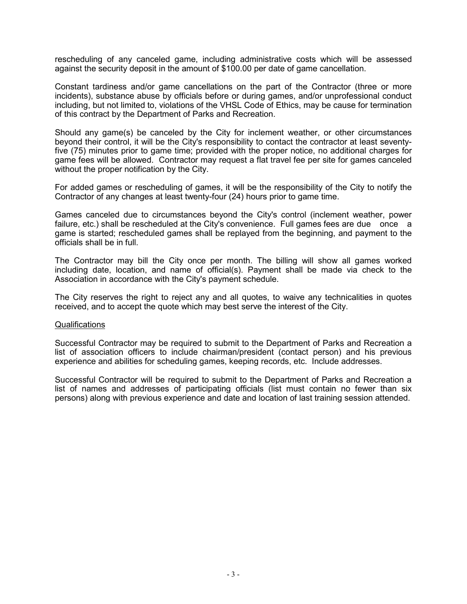rescheduling of any canceled game, including administrative costs which will be assessed against the security deposit in the amount of \$100.00 per date of game cancellation.

Constant tardiness and/or game cancellations on the part of the Contractor (three or more incidents), substance abuse by officials before or during games, and/or unprofessional conduct including, but not limited to, violations of the VHSL Code of Ethics, may be cause for termination of this contract by the Department of Parks and Recreation.

Should any game(s) be canceled by the City for inclement weather, or other circumstances beyond their control, it will be the City's responsibility to contact the contractor at least seventyfive (75) minutes prior to game time; provided with the proper notice, no additional charges for game fees will be allowed. Contractor may request a flat travel fee per site for games canceled without the proper notification by the City.

For added games or rescheduling of games, it will be the responsibility of the City to notify the Contractor of any changes at least twenty-four (24) hours prior to game time.

Games canceled due to circumstances beyond the City's control (inclement weather, power failure, etc.) shall be rescheduled at the City's convenience. Full games fees are due once a game is started; rescheduled games shall be replayed from the beginning, and payment to the officials shall be in full.

The Contractor may bill the City once per month. The billing will show all games worked including date, location, and name of official(s). Payment shall be made via check to the Association in accordance with the City's payment schedule.

The City reserves the right to reject any and all quotes, to waive any technicalities in quotes received, and to accept the quote which may best serve the interest of the City.

#### **Qualifications**

Successful Contractor may be required to submit to the Department of Parks and Recreation a list of association officers to include chairman/president (contact person) and his previous experience and abilities for scheduling games, keeping records, etc. Include addresses.

Successful Contractor will be required to submit to the Department of Parks and Recreation a list of names and addresses of participating officials (list must contain no fewer than six persons) along with previous experience and date and location of last training session attended.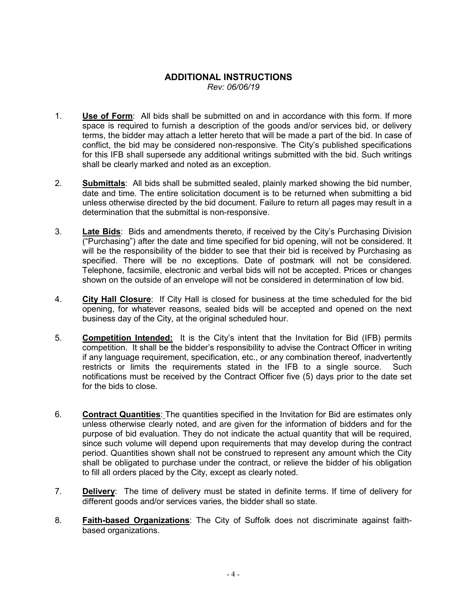#### **ADDITIONAL INSTRUCTIONS** *Rev: 06/06/19*

- 1. **Use of Form**: All bids shall be submitted on and in accordance with this form. If more space is required to furnish a description of the goods and/or services bid, or delivery terms, the bidder may attach a letter hereto that will be made a part of the bid. In case of conflict, the bid may be considered non-responsive. The City's published specifications for this IFB shall supersede any additional writings submitted with the bid. Such writings shall be clearly marked and noted as an exception.
- 2. **Submittals**: All bids shall be submitted sealed, plainly marked showing the bid number, date and time. The entire solicitation document is to be returned when submitting a bid unless otherwise directed by the bid document. Failure to return all pages may result in a determination that the submittal is non-responsive.
- 3. **Late Bids**: Bids and amendments thereto, if received by the City's Purchasing Division  $($ "Purchasing") after the date and time specified for bid opening, will not be considered. It will be the responsibility of the bidder to see that their bid is received by Purchasing as specified. There will be no exceptions. Date of postmark will not be considered. Telephone, facsimile, electronic and verbal bids will not be accepted. Prices or changes shown on the outside of an envelope will not be considered in determination of low bid.
- 4. **City Hall Closure**: If City Hall is closed for business at the time scheduled for the bid opening, for whatever reasons, sealed bids will be accepted and opened on the next business day of the City, at the original scheduled hour.
- 5. **Competition Intended:** It is the City's intent that the Invitation for Bid (IFB) permits competition. It shall be the bidder's responsibility to advise the Contract Officer in writing if any language requirement, specification, etc., or any combination thereof, inadvertently restricts or limits the requirements stated in the IFB to a single source. Such notifications must be received by the Contract Officer five (5) days prior to the date set for the bids to close.
- 6. **Contract Quantities**: The quantities specified in the Invitation for Bid are estimates only unless otherwise clearly noted, and are given for the information of bidders and for the purpose of bid evaluation. They do not indicate the actual quantity that will be required, since such volume will depend upon requirements that may develop during the contract period. Quantities shown shall not be construed to represent any amount which the City shall be obligated to purchase under the contract, or relieve the bidder of his obligation to fill all orders placed by the City, except as clearly noted.
- 7. **Delivery**: The time of delivery must be stated in definite terms. If time of delivery for different goods and/or services varies, the bidder shall so state.
- 8. **Faith-based Organizations**: The City of Suffolk does not discriminate against faithbased organizations.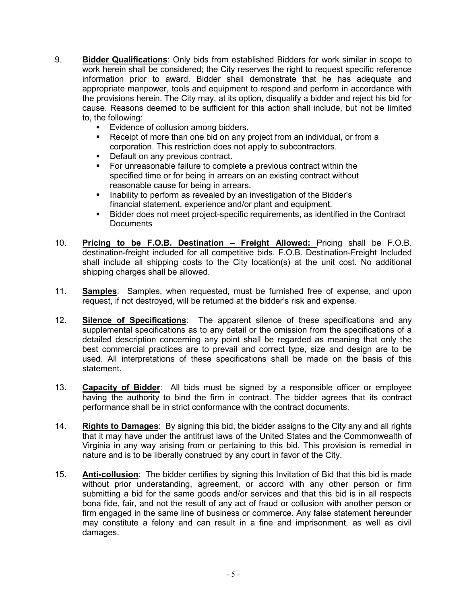- 9. **Bidder Qualifications**: Only bids from established Bidders for work similar in scope to work herein shall be considered; the City reserves the right to request specific reference information prior to award. Bidder shall demonstrate that he has adequate and appropriate manpower, tools and equipment to respond and perform in accordance with the provisions herein. The City may, at its option, disqualify a bidder and reject his bid for cause. Reasons deemed to be sufficient for this action shall include, but not be limited to, the following:
	- **Evidence of collusion among bidders.**<br>**E** Receipt of more than one bid on any n
	- Receipt of more than one bid on any project from an individual, or from a corporation. This restriction does not apply to subcontractors.
	- **Default on any previous contract.**
	- For unreasonable failure to complete a previous contract within the specified time or for being in arrears on an existing contract without reasonable cause for being in arrears.
	- **Inability to perform as revealed by an investigation of the Bidder's** financial statement, experience and/or plant and equipment.
	- Bidder does not meet project-specific requirements, as identified in the Contract **Documents**
- 10. **Pricing to be F.O.B. Destination – Freight Allowed:** Pricing shall be F.O.B. destination-freight included for all competitive bids. F.O.B. Destination-Freight Included shall include all shipping costs to the City location(s) at the unit cost. No additional shipping charges shall be allowed.
- 11. **Samples**: Samples, when requested, must be furnished free of expense, and upon request, if not destroyed, will be returned at the bidder's risk and expense.
- 12. **Silence of Specifications**: The apparent silence of these specifications and any supplemental specifications as to any detail or the omission from the specifications of a detailed description concerning any point shall be regarded as meaning that only the best commercial practices are to prevail and correct type, size and design are to be used. All interpretations of these specifications shall be made on the basis of this statement.
- 13. **Capacity of Bidder**: All bids must be signed by a responsible officer or employee having the authority to bind the firm in contract. The bidder agrees that its contract performance shall be in strict conformance with the contract documents.
- 14. **Rights to Damages**: By signing this bid, the bidder assigns to the City any and all rights that it may have under the antitrust laws of the United States and the Commonwealth of Virginia in any way arising from or pertaining to this bid. This provision is remedial in nature and is to be liberally construed by any court in favor of the City.
- 15. **Anti-collusion**: The bidder certifies by signing this Invitation of Bid that this bid is made without prior understanding, agreement, or accord with any other person or firm submitting a bid for the same goods and/or services and that this bid is in all respects bona fide, fair, and not the result of any act of fraud or collusion with another person or firm engaged in the same line of business or commerce. Any false statement hereunder may constitute a felony and can result in a fine and imprisonment, as well as civil damages.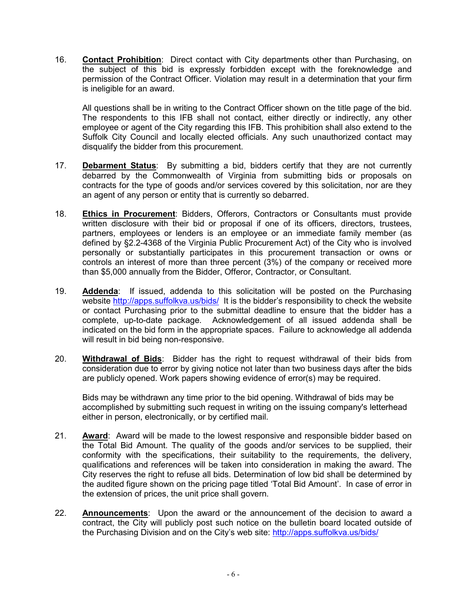16. **Contact Prohibition**: Direct contact with City departments other than Purchasing, on the subject of this bid is expressly forbidden except with the foreknowledge and permission of the Contract Officer. Violation may result in a determination that your firm is ineligible for an award.

All questions shall be in writing to the Contract Officer shown on the title page of the bid. The respondents to this IFB shall not contact, either directly or indirectly, any other employee or agent of the City regarding this IFB. This prohibition shall also extend to the Suffolk City Council and locally elected officials. Any such unauthorized contact may disqualify the bidder from this procurement.

- 17. **Debarment Status**: By submitting a bid, bidders certify that they are not currently debarred by the Commonwealth of Virginia from submitting bids or proposals on contracts for the type of goods and/or services covered by this solicitation, nor are they an agent of any person or entity that is currently so debarred.
- 18. **Ethics in Procurement**: Bidders, Offerors, Contractors or Consultants must provide written disclosure with their bid or proposal if one of its officers, directors, trustees, partners, employees or lenders is an employee or an immediate family member (as defined by §2.2-4368 of the Virginia Public Procurement Act) of the City who is involved personally or substantially participates in this procurement transaction or owns or controls an interest of more than three percent (3%) of the company or received more than \$5,000 annually from the Bidder, Offeror, Contractor, or Consultant.
- 19. **Addenda**: If issued, addenda to this solicitation will be posted on the Purchasing website<http://apps.suffolkva.us/bids/>It is the bidder's responsibility to check the website or contact Purchasing prior to the submittal deadline to ensure that the bidder has a complete, up-to-date package. Acknowledgement of all issued addenda shall be indicated on the bid form in the appropriate spaces. Failure to acknowledge all addenda will result in bid being non-responsive.
- 20. **Withdrawal of Bids**: Bidder has the right to request withdrawal of their bids from consideration due to error by giving notice not later than two business days after the bids are publicly opened. Work papers showing evidence of error(s) may be required.

Bids may be withdrawn any time prior to the bid opening. Withdrawal of bids may be accomplished by submitting such request in writing on the issuing company's letterhead either in person, electronically, or by certified mail.

- 21. **Award**: Award will be made to the lowest responsive and responsible bidder based on the Total Bid Amount. The quality of the goods and/or services to be supplied, their conformity with the specifications, their suitability to the requirements, the delivery, qualifications and references will be taken into consideration in making the award. The City reserves the right to refuse all bids. Determination of low bid shall be determined by the audited figure shown on the pricing page titled 'Total Bid Amount'. In case of error in the extension of prices, the unit price shall govern.
- 22. **Announcements**: Upon the award or the announcement of the decision to award a contract, the City will publicly post such notice on the bulletin board located outside of the Purchasing Division and on the City's web site:<http://apps.suffolkva.us/bids/>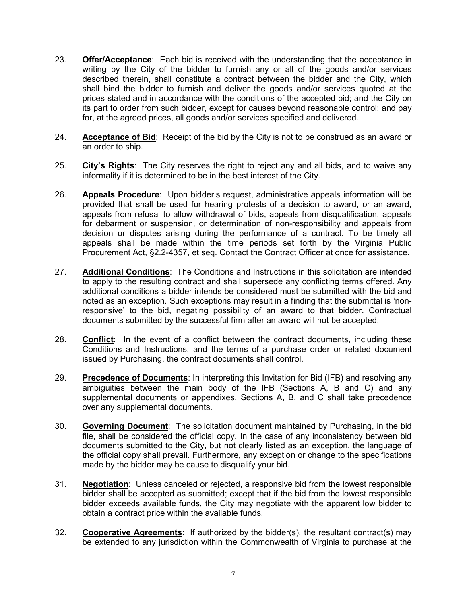- 23. **Offer/Acceptance**: Each bid is received with the understanding that the acceptance in writing by the City of the bidder to furnish any or all of the goods and/or services described therein, shall constitute a contract between the bidder and the City, which shall bind the bidder to furnish and deliver the goods and/or services quoted at the prices stated and in accordance with the conditions of the accepted bid; and the City on its part to order from such bidder, except for causes beyond reasonable control; and pay for, at the agreed prices, all goods and/or services specified and delivered.
- 24. **Acceptance of Bid**: Receipt of the bid by the City is not to be construed as an award or an order to ship.
- 25. **City's Rights**: The City reserves the right to reject any and all bids, and to waive any informality if it is determined to be in the best interest of the City.
- 26. **Appeals Procedure**: Upon bidder's request, administrative appeals information will be provided that shall be used for hearing protests of a decision to award, or an award, appeals from refusal to allow withdrawal of bids, appeals from disqualification, appeals for debarment or suspension, or determination of non-responsibility and appeals from decision or disputes arising during the performance of a contract. To be timely all appeals shall be made within the time periods set forth by the Virginia Public Procurement Act, §2.2-4357, et seq. Contact the Contract Officer at once for assistance.
- 27. **Additional Conditions**: The Conditions and Instructions in this solicitation are intended to apply to the resulting contract and shall supersede any conflicting terms offered. Any additional conditions a bidder intends be considered must be submitted with the bid and noted as an exception. Such exceptions may result in a finding that the submittal is 'nonresponsive' to the bid, negating possibility of an award to that bidder. Contractual documents submitted by the successful firm after an award will not be accepted.
- 28. **Conflict**: In the event of a conflict between the contract documents, including these Conditions and Instructions, and the terms of a purchase order or related document issued by Purchasing, the contract documents shall control.
- 29. **Precedence of Documents**: In interpreting this Invitation for Bid (IFB) and resolving any ambiguities between the main body of the IFB (Sections A, B and C) and any supplemental documents or appendixes, Sections A, B, and C shall take precedence over any supplemental documents.
- 30. **Governing Document**: The solicitation document maintained by Purchasing, in the bid file, shall be considered the official copy. In the case of any inconsistency between bid documents submitted to the City, but not clearly listed as an exception, the language of the official copy shall prevail. Furthermore, any exception or change to the specifications made by the bidder may be cause to disqualify your bid.
- 31. **Negotiation**: Unless canceled or rejected, a responsive bid from the lowest responsible bidder shall be accepted as submitted; except that if the bid from the lowest responsible bidder exceeds available funds, the City may negotiate with the apparent low bidder to obtain a contract price within the available funds.
- 32. **Cooperative Agreements**: If authorized by the bidder(s), the resultant contract(s) may be extended to any jurisdiction within the Commonwealth of Virginia to purchase at the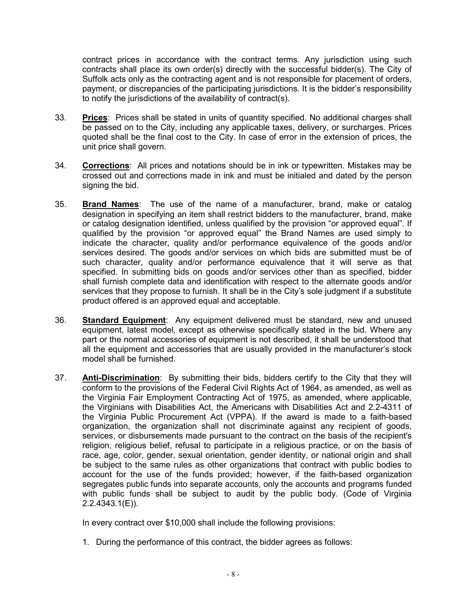contract prices in accordance with the contract terms. Any jurisdiction using such contracts shall place its own order(s) directly with the successful bidder(s). The City of Suffolk acts only as the contracting agent and is not responsible for placement of orders, payment, or discrepancies of the participating jurisdictions. It is the bidder's responsibility to notify the jurisdictions of the availability of contract(s).

- 33. **Prices**: Prices shall be stated in units of quantity specified. No additional charges shall be passed on to the City, including any applicable taxes, delivery, or surcharges. Prices quoted shall be the final cost to the City. In case of error in the extension of prices, the unit price shall govern.
- 34. **Corrections**: All prices and notations should be in ink or typewritten. Mistakes may be crossed out and corrections made in ink and must be initialed and dated by the person signing the bid.
- 35. **Brand Names**: The use of the name of a manufacturer, brand, make or catalog designation in specifying an item shall restrict bidders to the manufacturer, brand, make or catalog designation identified, unless qualified by the provision "or approved equal". If qualified by the provision "or approved equal" the Brand Names are used simply to indicate the character, quality and/or performance equivalence of the goods and/or services desired. The goods and/or services on which bids are submitted must be of such character, quality and/or performance equivalence that it will serve as that specified. In submitting bids on goods and/or services other than as specified, bidder shall furnish complete data and identification with respect to the alternate goods and/or services that they propose to furnish. It shall be in the City's sole judgment if a substitute product offered is an approved equal and acceptable.
- 36. **Standard Equipment**: Any equipment delivered must be standard, new and unused equipment, latest model, except as otherwise specifically stated in the bid. Where any part or the normal accessories of equipment is not described, it shall be understood that all the equipment and accessories that are usually provided in the manufacturer's stock model shall be furnished.
- 37. **Anti-Discrimination**: By submitting their bids, bidders certify to the City that they will conform to the provisions of the Federal Civil Rights Act of 1964, as amended, as well as the Virginia Fair Employment Contracting Act of 1975, as amended, where applicable, the Virginians with Disabilities Act, the Americans with Disabilities Act and 2.2-4311 of the Virginia Public Procurement Act (VPPA). If the award is made to a faith-based organization, the organization shall not discriminate against any recipient of goods, services, or disbursements made pursuant to the contract on the basis of the recipient's religion, religious belief, refusal to participate in a religious practice, or on the basis of race, age, color, gender, sexual orientation, gender identity, or national origin and shall be subject to the same rules as other organizations that contract with public bodies to account for the use of the funds provided; however, if the faith-based organization segregates public funds into separate accounts, only the accounts and programs funded with public funds shall be subject to audit by the public body. (Code of Virginia 2.2.4343.1(E)).

In every contract over \$10,000 shall include the following provisions:

1. During the performance of this contract, the bidder agrees as follows: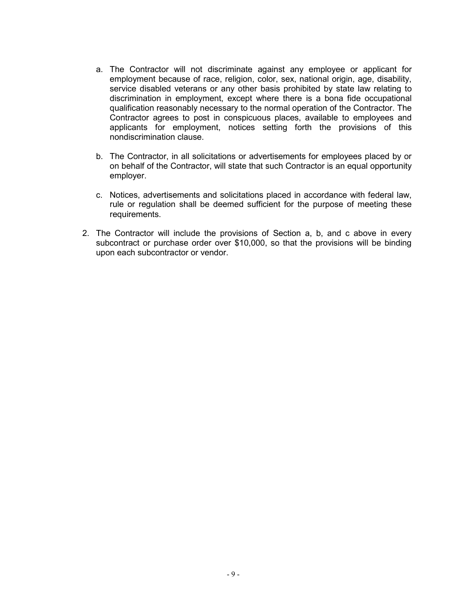- a. The Contractor will not discriminate against any employee or applicant for employment because of race, religion, color, sex, national origin, age, disability, service disabled veterans or any other basis prohibited by state law relating to discrimination in employment, except where there is a bona fide occupational qualification reasonably necessary to the normal operation of the Contractor. The Contractor agrees to post in conspicuous places, available to employees and applicants for employment, notices setting forth the provisions of this nondiscrimination clause.
- b. The Contractor, in all solicitations or advertisements for employees placed by or on behalf of the Contractor, will state that such Contractor is an equal opportunity employer.
- c. Notices, advertisements and solicitations placed in accordance with federal law, rule or regulation shall be deemed sufficient for the purpose of meeting these requirements.
- 2. The Contractor will include the provisions of Section a, b, and c above in every subcontract or purchase order over \$10,000, so that the provisions will be binding upon each subcontractor or vendor.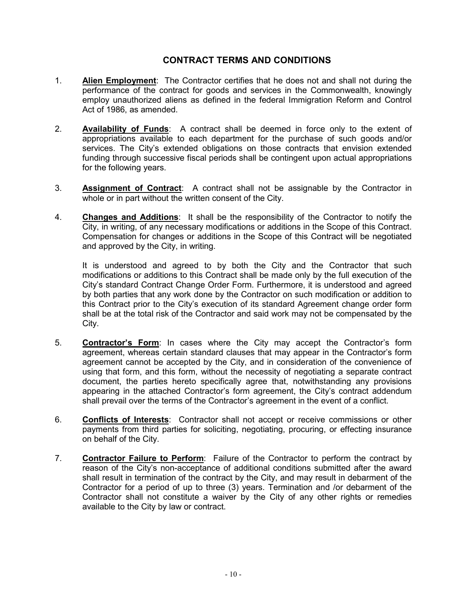### **CONTRACT TERMS AND CONDITIONS**

- 1. **Alien Employment**: The Contractor certifies that he does not and shall not during the performance of the contract for goods and services in the Commonwealth, knowingly employ unauthorized aliens as defined in the federal Immigration Reform and Control Act of 1986, as amended.
- 2. **Availability of Funds**: A contract shall be deemed in force only to the extent of appropriations available to each department for the purchase of such goods and/or services. The City's extended obligations on those contracts that envision extended funding through successive fiscal periods shall be contingent upon actual appropriations for the following years.
- 3. **Assignment of Contract**: A contract shall not be assignable by the Contractor in whole or in part without the written consent of the City.
- 4. **Changes and Additions**: It shall be the responsibility of the Contractor to notify the City, in writing, of any necessary modifications or additions in the Scope of this Contract. Compensation for changes or additions in the Scope of this Contract will be negotiated and approved by the City, in writing.

It is understood and agreed to by both the City and the Contractor that such modifications or additions to this Contract shall be made only by the full execution of the City's standard Contract Change Order Form. Furthermore, it is understood and agreed by both parties that any work done by the Contractor on such modification or addition to this Contract prior to the City's execution of its standard Agreement change order form shall be at the total risk of the Contractor and said work may not be compensated by the City.

- 5. **Contractor's Form**: In cases where the City may accept the Contractor's form agreement, whereas certain standard clauses that may appear in the Contractor's form agreement cannot be accepted by the City, and in consideration of the convenience of using that form, and this form, without the necessity of negotiating a separate contract document, the parties hereto specifically agree that, notwithstanding any provisions appearing in the attached Contractor's form agreement, the City's contract addendum shall prevail over the terms of the Contractor's agreement in the event of a conflict.
- 6. **Conflicts of Interests**: Contractor shall not accept or receive commissions or other payments from third parties for soliciting, negotiating, procuring, or effecting insurance on behalf of the City.
- 7. **Contractor Failure to Perform**: Failure of the Contractor to perform the contract by reason of the City's non-acceptance of additional conditions submitted after the award shall result in termination of the contract by the City, and may result in debarment of the Contractor for a period of up to three (3) years. Termination and /or debarment of the Contractor shall not constitute a waiver by the City of any other rights or remedies available to the City by law or contract.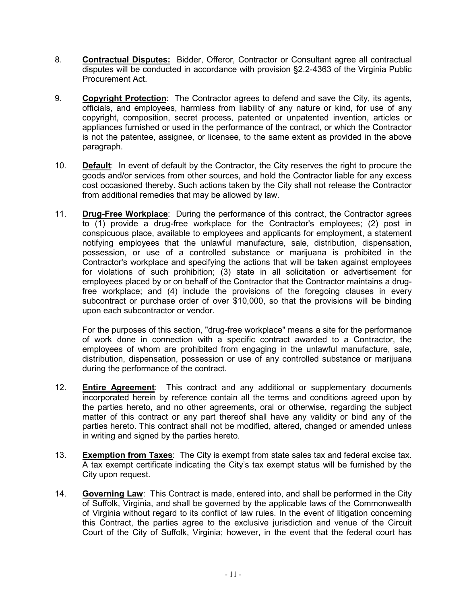- 8. **Contractual Disputes:** Bidder, Offeror, Contractor or Consultant agree all contractual disputes will be conducted in accordance with provision §2.2-4363 of the Virginia Public Procurement Act.
- 9. **Copyright Protection**: The Contractor agrees to defend and save the City, its agents, officials, and employees, harmless from liability of any nature or kind, for use of any copyright, composition, secret process, patented or unpatented invention, articles or appliances furnished or used in the performance of the contract, or which the Contractor is not the patentee, assignee, or licensee, to the same extent as provided in the above paragraph.
- 10. **Default**: In event of default by the Contractor, the City reserves the right to procure the goods and/or services from other sources, and hold the Contractor liable for any excess cost occasioned thereby. Such actions taken by the City shall not release the Contractor from additional remedies that may be allowed by law.
- 11. **Drug-Free Workplace**: During the performance of this contract, the Contractor agrees to (1) provide a drug-free workplace for the Contractor's employees; (2) post in conspicuous place, available to employees and applicants for employment, a statement notifying employees that the unlawful manufacture, sale, distribution, dispensation, possession, or use of a controlled substance or marijuana is prohibited in the Contractor's workplace and specifying the actions that will be taken against employees for violations of such prohibition; (3) state in all solicitation or advertisement for employees placed by or on behalf of the Contractor that the Contractor maintains a drugfree workplace; and (4) include the provisions of the foregoing clauses in every subcontract or purchase order of over \$10,000, so that the provisions will be binding upon each subcontractor or vendor.

For the purposes of this section, "drug-free workplace" means a site for the performance of work done in connection with a specific contract awarded to a Contractor, the employees of whom are prohibited from engaging in the unlawful manufacture, sale, distribution, dispensation, possession or use of any controlled substance or marijuana during the performance of the contract.

- 12. **Entire Agreement**: This contract and any additional or supplementary documents incorporated herein by reference contain all the terms and conditions agreed upon by the parties hereto, and no other agreements, oral or otherwise, regarding the subject matter of this contract or any part thereof shall have any validity or bind any of the parties hereto. This contract shall not be modified, altered, changed or amended unless in writing and signed by the parties hereto.
- 13. **Exemption from Taxes**: The City is exempt from state sales tax and federal excise tax. A tax exempt certificate indicating the City's tax exempt status will be furnished by the City upon request.
- 14. **Governing Law**: This Contract is made, entered into, and shall be performed in the City of Suffolk, Virginia, and shall be governed by the applicable laws of the Commonwealth of Virginia without regard to its conflict of law rules. In the event of litigation concerning this Contract, the parties agree to the exclusive jurisdiction and venue of the Circuit Court of the City of Suffolk, Virginia; however, in the event that the federal court has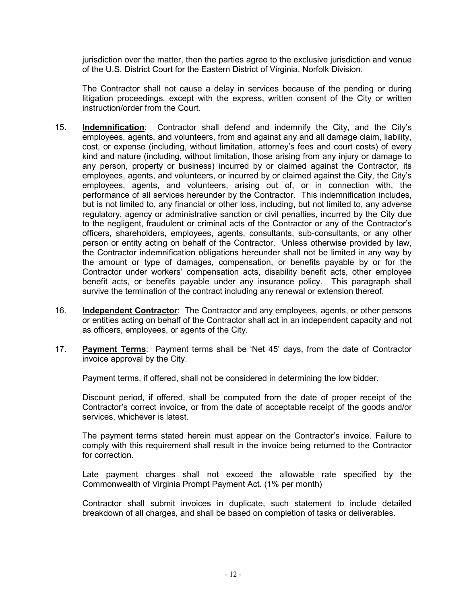jurisdiction over the matter, then the parties agree to the exclusive jurisdiction and venue of the U.S. District Court for the Eastern District of Virginia, Norfolk Division.

The Contractor shall not cause a delay in services because of the pending or during litigation proceedings, except with the express, written consent of the City or written instruction/order from the Court.

- 15. **Indemnification**: Contractor shall defend and indemnify the City, and the City's employees, agents, and volunteers, from and against any and all damage claim, liability, cost, or expense (including, without limitation, attorney's fees and court costs) of every kind and nature (including, without limitation, those arising from any injury or damage to any person, property or business) incurred by or claimed against the Contractor, its employees, agents, and volunteers, or incurred by or claimed against the City, the City's employees, agents, and volunteers, arising out of, or in connection with, the performance of all services hereunder by the Contractor. This indemnification includes, but is not limited to, any financial or other loss, including, but not limited to, any adverse regulatory, agency or administrative sanction or civil penalties, incurred by the City due to the negligent, fraudulent or criminal acts of the Contractor or any of the Contractor's officers, shareholders, employees, agents, consultants, sub-consultants, or any other person or entity acting on behalf of the Contractor. Unless otherwise provided by law, the Contractor indemnification obligations hereunder shall not be limited in any way by the amount or type of damages, compensation, or benefits payable by or for the Contractor under workers' compensation acts, disability benefit acts, other employee benefit acts, or benefits payable under any insurance policy. This paragraph shall survive the termination of the contract including any renewal or extension thereof.
- 16. **Independent Contractor**: The Contractor and any employees, agents, or other persons or entities acting on behalf of the Contractor shall act in an independent capacity and not as officers, employees, or agents of the City.
- 17. **Payment Terms**: Payment terms shall be 'Net 45' days, from the date of Contractor invoice approval by the City.

Payment terms, if offered, shall not be considered in determining the low bidder.

Discount period, if offered, shall be computed from the date of proper receipt of the Contractor's correct invoice, or from the date of acceptable receipt of the goods and/or services, whichever is latest.

The payment terms stated herein must appear on the Contractor's invoice. Failure to comply with this requirement shall result in the invoice being returned to the Contractor for correction.

Late payment charges shall not exceed the allowable rate specified by the Commonwealth of Virginia Prompt Payment Act. (1% per month)

Contractor shall submit invoices in duplicate, such statement to include detailed breakdown of all charges, and shall be based on completion of tasks or deliverables.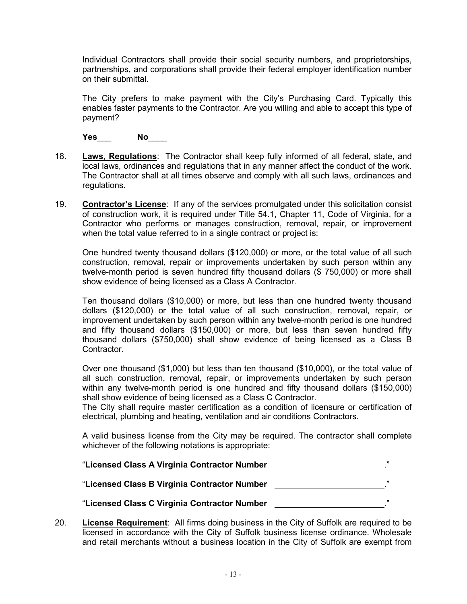Individual Contractors shall provide their social security numbers, and proprietorships, partnerships, and corporations shall provide their federal employer identification number on their submittal.

The City prefers to make payment with the City's Purchasing Card. Typically this enables faster payments to the Contractor. Are you willing and able to accept this type of payment?

**Yes**\_\_\_ **No**\_\_\_\_

- 18. **Laws, Regulations**: The Contractor shall keep fully informed of all federal, state, and local laws, ordinances and regulations that in any manner affect the conduct of the work. The Contractor shall at all times observe and comply with all such laws, ordinances and regulations.
- 19. **Contractor's License**: If any of the services promulgated under this solicitation consist of construction work, it is required under Title 54.1, Chapter 11, Code of Virginia, for a Contractor who performs or manages construction, removal, repair, or improvement when the total value referred to in a single contract or project is:

One hundred twenty thousand dollars (\$120,000) or more, or the total value of all such construction, removal, repair or improvements undertaken by such person within any twelve-month period is seven hundred fifty thousand dollars (\$ 750,000) or more shall show evidence of being licensed as a Class A Contractor.

Ten thousand dollars (\$10,000) or more, but less than one hundred twenty thousand dollars (\$120,000) or the total value of all such construction, removal, repair, or improvement undertaken by such person within any twelve-month period is one hundred and fifty thousand dollars (\$150,000) or more, but less than seven hundred fifty thousand dollars (\$750,000) shall show evidence of being licensed as a Class B **Contractor** 

Over one thousand (\$1,000) but less than ten thousand (\$10,000), or the total value of all such construction, removal, repair, or improvements undertaken by such person within any twelve-month period is one hundred and fifty thousand dollars (\$150,000) shall show evidence of being licensed as a Class C Contractor.

The City shall require master certification as a condition of licensure or certification of electrical, plumbing and heating, ventilation and air conditions Contractors.

A valid business license from the City may be required. The contractor shall complete whichever of the following notations is appropriate:

| "Licensed Class A Virginia Contractor Number | ,,  |
|----------------------------------------------|-----|
| "Licensed Class B Virginia Contractor Number | ,,, |
| "Licensed Class C Virginia Contractor Number | ,,, |

20. **License Requirement**: All firms doing business in the City of Suffolk are required to be licensed in accordance with the City of Suffolk business license ordinance. Wholesale and retail merchants without a business location in the City of Suffolk are exempt from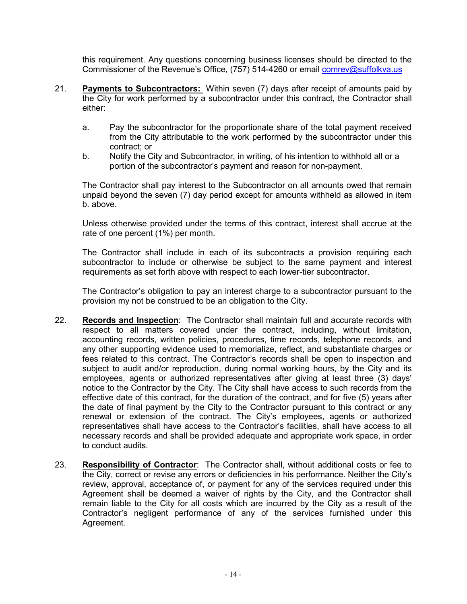this requirement. Any questions concerning business licenses should be directed to the Commissioner of the Revenue's Office, (757) 514-4260 or email [comrev@suffolkva.us](mailto:comrev@suffolkva.us)

- 21. **Payments to Subcontractors:** Within seven (7) days after receipt of amounts paid by the City for work performed by a subcontractor under this contract, the Contractor shall either:
	- a. Pay the subcontractor for the proportionate share of the total payment received from the City attributable to the work performed by the subcontractor under this contract; or
	- b. Notify the City and Subcontractor, in writing, of his intention to withhold all or a portion of the subcontractor's payment and reason for non-payment.

The Contractor shall pay interest to the Subcontractor on all amounts owed that remain unpaid beyond the seven (7) day period except for amounts withheld as allowed in item b. above.

Unless otherwise provided under the terms of this contract, interest shall accrue at the rate of one percent (1%) per month.

The Contractor shall include in each of its subcontracts a provision requiring each subcontractor to include or otherwise be subject to the same payment and interest requirements as set forth above with respect to each lower-tier subcontractor.

The Contractor's obligation to pay an interest charge to a subcontractor pursuant to the provision my not be construed to be an obligation to the City.

- 22. **Records and Inspection**: The Contractor shall maintain full and accurate records with respect to all matters covered under the contract, including, without limitation, accounting records, written policies, procedures, time records, telephone records, and any other supporting evidence used to memorialize, reflect, and substantiate charges or fees related to this contract. The Contractor's records shall be open to inspection and subject to audit and/or reproduction, during normal working hours, by the City and its employees, agents or authorized representatives after giving at least three (3) days' notice to the Contractor by the City. The City shall have access to such records from the effective date of this contract, for the duration of the contract, and for five (5) years after the date of final payment by the City to the Contractor pursuant to this contract or any renewal or extension of the contract. The City's employees, agents or authorized representatives shall have access to the Contractor's facilities, shall have access to all necessary records and shall be provided adequate and appropriate work space, in order to conduct audits.
- 23. **Responsibility of Contractor**: The Contractor shall, without additional costs or fee to the City, correct or revise any errors or deficiencies in his performance. Neither the City's review, approval, acceptance of, or payment for any of the services required under this Agreement shall be deemed a waiver of rights by the City, and the Contractor shall remain liable to the City for all costs which are incurred by the City as a result of the Contractor's negligent performance of any of the services furnished under this Agreement.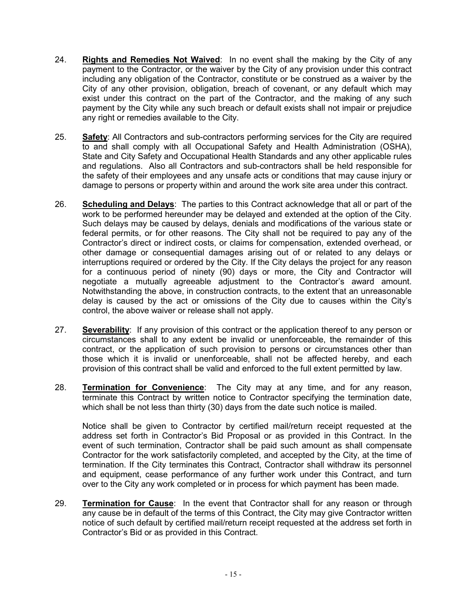- 24. **Rights and Remedies Not Waived**: In no event shall the making by the City of any payment to the Contractor, or the waiver by the City of any provision under this contract including any obligation of the Contractor, constitute or be construed as a waiver by the City of any other provision, obligation, breach of covenant, or any default which may exist under this contract on the part of the Contractor, and the making of any such payment by the City while any such breach or default exists shall not impair or prejudice any right or remedies available to the City.
- 25. **Safety**: All Contractors and sub-contractors performing services for the City are required to and shall comply with all Occupational Safety and Health Administration (OSHA), State and City Safety and Occupational Health Standards and any other applicable rules and regulations. Also all Contractors and sub-contractors shall be held responsible for the safety of their employees and any unsafe acts or conditions that may cause injury or damage to persons or property within and around the work site area under this contract.
- 26. **Scheduling and Delays**: The parties to this Contract acknowledge that all or part of the work to be performed hereunder may be delayed and extended at the option of the City. Such delays may be caused by delays, denials and modifications of the various state or federal permits, or for other reasons. The City shall not be required to pay any of the Contractor's direct or indirect costs, or claims for compensation, extended overhead, or other damage or consequential damages arising out of or related to any delays or interruptions required or ordered by the City. If the City delays the project for any reason for a continuous period of ninety (90) days or more, the City and Contractor will negotiate a mutually agreeable adjustment to the Contractor's award amount. Notwithstanding the above, in construction contracts, to the extent that an unreasonable delay is caused by the act or omissions of the City due to causes within the City's control, the above waiver or release shall not apply.
- 27. **Severability**: If any provision of this contract or the application thereof to any person or circumstances shall to any extent be invalid or unenforceable, the remainder of this contract, or the application of such provision to persons or circumstances other than those which it is invalid or unenforceable, shall not be affected hereby, and each provision of this contract shall be valid and enforced to the full extent permitted by law.
- 28. **Termination for Convenience**: The City may at any time, and for any reason, terminate this Contract by written notice to Contractor specifying the termination date, which shall be not less than thirty (30) days from the date such notice is mailed.

Notice shall be given to Contractor by certified mail/return receipt requested at the address set forth in Contractor's Bid Proposal or as provided in this Contract. In the event of such termination, Contractor shall be paid such amount as shall compensate Contractor for the work satisfactorily completed, and accepted by the City, at the time of termination. If the City terminates this Contract, Contractor shall withdraw its personnel and equipment, cease performance of any further work under this Contract, and turn over to the City any work completed or in process for which payment has been made.

29. **Termination for Cause**: In the event that Contractor shall for any reason or through any cause be in default of the terms of this Contract, the City may give Contractor written notice of such default by certified mail/return receipt requested at the address set forth in Contractor's Bid or as provided in this Contract.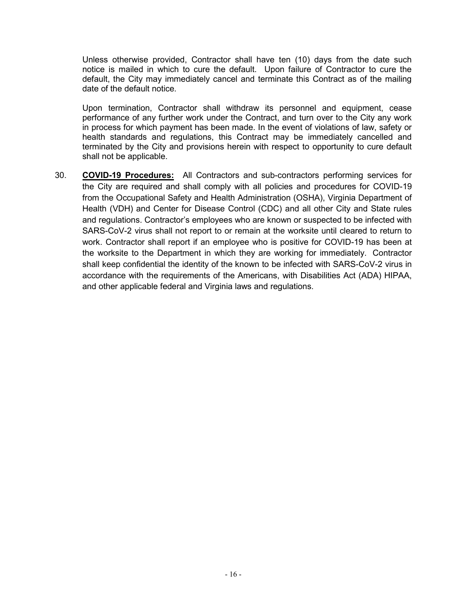Unless otherwise provided, Contractor shall have ten (10) days from the date such notice is mailed in which to cure the default. Upon failure of Contractor to cure the default, the City may immediately cancel and terminate this Contract as of the mailing date of the default notice.

Upon termination, Contractor shall withdraw its personnel and equipment, cease performance of any further work under the Contract, and turn over to the City any work in process for which payment has been made. In the event of violations of law, safety or health standards and regulations, this Contract may be immediately cancelled and terminated by the City and provisions herein with respect to opportunity to cure default shall not be applicable.

30. **COVID-19 Procedures:** All Contractors and sub-contractors performing services for the City are required and shall comply with all policies and procedures for COVID-19 from the Occupational Safety and Health Administration (OSHA), Virginia Department of Health (VDH) and Center for Disease Control (CDC) and all other City and State rules and regulations. Contractor's employees who are known or suspected to be infected with SARS-CoV-2 virus shall not report to or remain at the worksite until cleared to return to work. Contractor shall report if an employee who is positive for COVID-19 has been at the worksite to the Department in which they are working for immediately. Contractor shall keep confidential the identity of the known to be infected with SARS-CoV-2 virus in accordance with the requirements of the Americans, with Disabilities Act (ADA) HIPAA, and other applicable federal and Virginia laws and regulations.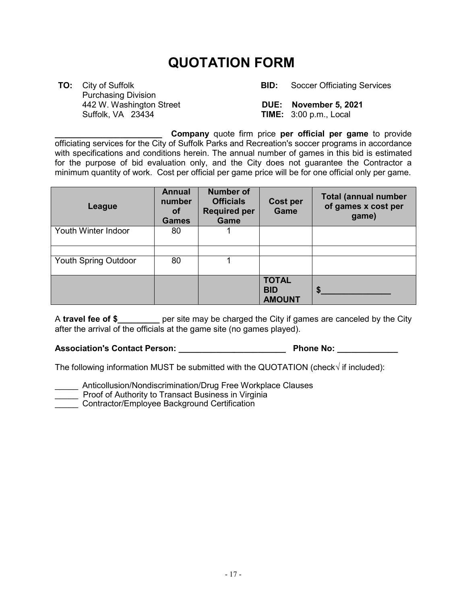## **QUOTATION FORM**

 Purchasing Division 442 W. Washington Street **DUE:****November 5, 2021**

 **TO:** City of Suffolk **BID:** Soccer Officiating Services

**TIME:** 3:00 p.m., Local

**\_\_\_\_\_\_\_\_\_\_\_\_\_\_\_\_\_\_\_\_\_\_\_ Company** quote firm price **per official per game** to provide officiating services for the City of Suffolk Parks and Recreation's soccer programs in accordance with specifications and conditions herein. The annual number of games in this bid is estimated for the purpose of bid evaluation only, and the City does not guarantee the Contractor a minimum quantity of work. Cost per official per game price will be for one official only per game.

| League                      | <b>Annual</b><br>number<br>οf<br><b>Games</b> | <b>Number of</b><br><b>Officials</b><br><b>Required per</b><br>Game | <b>Cost per</b><br>Game                     | <b>Total (annual number</b><br>of games x cost per<br>game) |
|-----------------------------|-----------------------------------------------|---------------------------------------------------------------------|---------------------------------------------|-------------------------------------------------------------|
| Youth Winter Indoor         | 80                                            |                                                                     |                                             |                                                             |
| <b>Youth Spring Outdoor</b> | 80                                            |                                                                     |                                             |                                                             |
|                             |                                               |                                                                     | <b>TOTAL</b><br><b>BID</b><br><b>AMOUNT</b> | S                                                           |

A **travel fee of \$\_\_\_\_\_\_\_\_\_** per site may be charged the City if games are canceled by the City after the arrival of the officials at the game site (no games played).

**Association's Contact Person: \_\_\_\_\_\_\_\_\_\_\_\_\_\_\_\_\_\_\_\_\_\_\_ Phone No: \_\_\_\_\_\_\_\_\_\_\_\_\_**

The following information MUST be submitted with the QUOTATION (check√ if included):

Anticollusion/Nondiscrimination/Drug Free Workplace Clauses

**THE PROOF OF Authority to Transact Business in Virginia** 

**EXECONDED Contractor/Employee Background Certification**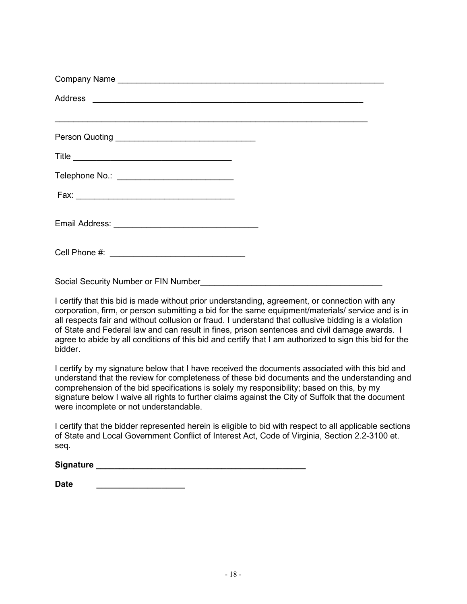| Telephone No.: ______________________________ |  |
|-----------------------------------------------|--|
|                                               |  |
|                                               |  |
|                                               |  |

Social Security Number or FIN Number

I certify that this bid is made without prior understanding, agreement, or connection with any corporation, firm, or person submitting a bid for the same equipment/materials/ service and is in all respects fair and without collusion or fraud. I understand that collusive bidding is a violation of State and Federal law and can result in fines, prison sentences and civil damage awards. I agree to abide by all conditions of this bid and certify that I am authorized to sign this bid for the bidder.

I certify by my signature below that I have received the documents associated with this bid and understand that the review for completeness of these bid documents and the understanding and comprehension of the bid specifications is solely my responsibility; based on this, by my signature below I waive all rights to further claims against the City of Suffolk that the document were incomplete or not understandable.

I certify that the bidder represented herein is eligible to bid with respect to all applicable sections of State and Local Government Conflict of Interest Act, Code of Virginia, Section 2.2-3100 et. seq.

| <b>Signature</b> |  |
|------------------|--|
|                  |  |

| <b>Date</b> |  |  |  |  |  |  |  |
|-------------|--|--|--|--|--|--|--|
|             |  |  |  |  |  |  |  |
|             |  |  |  |  |  |  |  |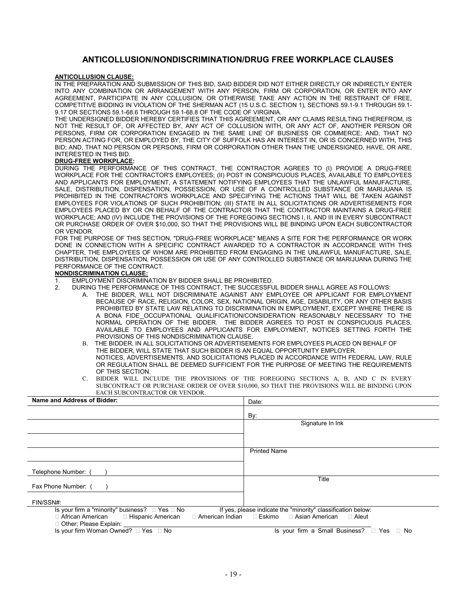#### **ANTICOLLUSION/NONDISCRIMINATION/DRUG FREE WORKPLACE CLAUSES**

#### **ANTICOLLUSION CLAUSE:**

IN THE PREPARATION AND SUBMISSION OF THIS BID, SAID BIDDER DID NOT EITHER DIRECTLY OR INDIRECTLY ENTER INTO ANY COMBINATION OR ARRANGEMENT WITH ANY PERSON, FIRM OR CORPORATION, OR ENTER INTO ANY AGREEMENT, PARTICIPATE IN ANY COLLUSION, OR OTHERWISE TAKE ANY ACTION IN THE RESTRAINT OF FREE, COMPETITIVE BIDDING IN VIOLATION OF THE SHERMAN ACT (15 U.S.C. SECTION 1), SECTIONS 59.1-9.1 THROUGH 59.1- 9.17 OR SECTIONS 59.1-68.6 THROUGH 59.1-68.8 OF THE CODE OF VIRGINIA.

THE UNDERSIGNED BIDDER HEREBY CERTIFIES THAT THIS AGREEMENT, OR ANY CLAIMS RESULTING THEREFROM, IS NOT THE RESULT OF, OR AFFECTED BY, ANY ACT OF COLLUSION WITH, OR ANY ACT OF, ANOTHER PERSON OR PERSONS, FIRM OR CORPORATION ENGAGED IN THE SAME LINE OF BUSINESS OR COMMERCE; AND, THAT NO PERSON ACTING FOR, OR EMPLOYED BY, THE CITY OF SUFFOLK HAS AN INTEREST IN, OR IS CONCERNED WITH, THIS BID; AND, THAT NO PERSON OR PERSONS, FIRM OR CORPORATION OTHER THAN THE UNDERSIGNED, HAVE, OR ARE, INTERESTED IN THIS BID.

#### **DRUG-FREE WORKPLACE:**

DURING THE PERFORMANCE OF THIS CONTRACT, THE CONTRACTOR AGREES TO (I) PROVIDE A DRUG-FREE WORKPLACE FOR THE CONTRACTOR'S EMPLOYEES; (II) POST IN CONSPICUOUS PLACES, AVAILABLE TO EMPLOYEES AND APPLICANTS FOR EMPLOYMENT, A STATEMENT NOTIFYING EMPLOYEES THAT THE UNLAWFUL MANUFACTURE, SALE, DISTRIBUTION, DISPENSATION, POSSESSION, OR USE OF A CONTROLLED SUBSTANCE OR MARIJUANA IS PROHIBITED IN THE CONTRACTOR'S WORKPLACE AND SPECIFYING THE ACTIONS THAT WILL BE TAKEN AGAINST EMPLOYEES FOR VIOLATIONS OF SUCH PROHIBITION; (III) STATE IN ALL SOLICITATIONS OR ADVERTISEMENTS FOR EMPLOYEES PLACED BY OR ON BEHALF OF THE CONTRACTOR THAT THE CONTRACTOR MAINTAINS A DRUG-FREE WORKPLACE; AND (IV) INCLUDE THE PROVISIONS OF THE FOREGOING SECTIONS I, II, AND III IN EVERY SUBCONTRACT OR PURCHASE ORDER OF OVER \$10,000, SO THAT THE PROVISIONS WILL BE BINDING UPON EACH SUBCONTRACTOR OR VENDOR.

FOR THE PURPOSE OF THIS SECTION, "DRUG-FREE WORKPLACE" MEANS A SITE FOR THE PERFORMANCE OR WORK DONE IN CONNECTION WITH A SPECIFIC CONTRACT AWARDED TO A CONTRACTOR IN ACCORDANCE WITH THIS CHAPTER, THE EMPLOYEES OF WHOM ARE PROHIBITED FROM ENGAGING IN THE UNLAWFUL MANUFACTURE, SALE, DISTRIBUTION, DISPENSATION, POSSESSION OR USE OF ANY CONTROLLED SUBSTANCE OR MARIJUANA DURING THE PERFORMANCE OF THE CONTRACT.

#### **NONDISCRIMINATION CLAUSE:**

1. EMPLOYMENT DISCRIMINATION BY BIDDER SHALL BE PROHIBITED.

- 2. DURING THE PERFORMANCE OF THIS CONTRACT, THE SUCCESSFUL BIDDER SHALL AGREE AS FOLLOWS:
	- A. THE BIDDER, WILL NOT DISCRIMINATE AGAINST ANY EMPLOYEE OR APPLICANT FOR EMPLOYMENT BECAUSE OF RACE, RELIGION, COLOR, SEX, NATIONAL ORIGIN, AGE, DISABILITY, OR ANY OTHER BASIS PROHIBITED BY STATE LAW RELATING TO DISCRIMINATION IN EMPLOYMENT, EXCEPT WHERE THERE IS A BONA FIDE\_OCCUPATIONAL QUALIFICATION/CONSIDERATION REASONABLY NECESSARY TO THE NORMAL OPERATION OF THE BIDDER. THE BIDDER AGREES TO POST IN CONSPICUOUS PLACES, AVAILABLE TO EMPLOYEES AND APPLICANTS FOR EMPLOYMENT, NOTICES SETTING FORTH THE PROVISIONS OF THIS NONDISCRIMINATION CLAUSE.
	- B. THE BIDDER, IN ALL SOLICITATIONS OR ADVERTISEMENTS FOR EMPLOYEES PLACED ON BEHALF OF THE BIDDER, WILL STATE THAT SUCH BIDDER IS AN EQUAL OPPORTUNITY EMPLOYER. NOTICES, ADVERTISEMENTS, AND SOLICITATIONS PLACED IN ACCORDANCE WITH FEDERAL LAW, RULE OR REGULATION SHALL BE DEEMED SUFFICIENT FOR THE PURPOSE OF MEETING THE REQUIREMENTS OF THIS SECTION.
	- C. BIDDER WILL INCLUDE THE PROVISIONS OF THE FOREGOING SECTIONS A, B, AND C IN EVERY SUBCONTRACT OR PURCHASE ORDER OF OVER \$10,000, SO THAT THE PROVISIONS WILL BE BINDING UPON EACH SUBCONTRACTOR OR VENDOR.

| Name and Address of Bidder:                                        | Date:                                                                      |
|--------------------------------------------------------------------|----------------------------------------------------------------------------|
|                                                                    | By:                                                                        |
|                                                                    | Signature In Ink                                                           |
|                                                                    |                                                                            |
|                                                                    | <b>Printed Name</b>                                                        |
|                                                                    |                                                                            |
| Telephone Number:                                                  |                                                                            |
| Fax Phone Number: (                                                | Title                                                                      |
| FIN/SSN#:                                                          |                                                                            |
| Is your firm a "minority" business? $\Box$ Yes $\Box$ No           | If yes, please indicate the "minority" classification below:               |
| □ African American □ Hispanic American<br>□ Other; Please Explain: | $\Box$ American Indian $\Box$ Eskimo $\Box$ Asian American<br>$\Box$ Aleut |
| Is your firm Woman Owned? □ Yes □ No                               | Is your firm a Small Business? □ Yes □ No                                  |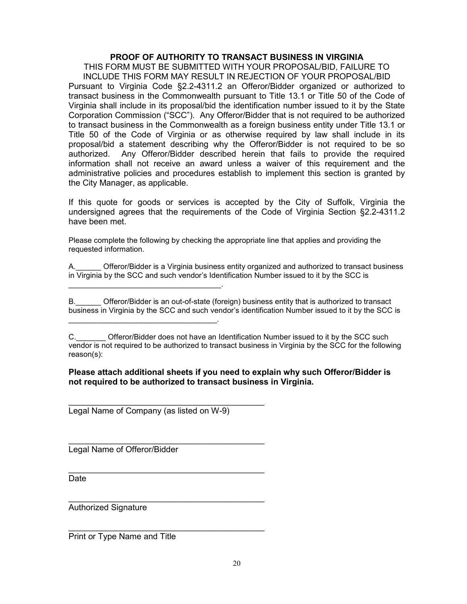#### **PROOF OF AUTHORITY TO TRANSACT BUSINESS IN VIRGINIA**

THIS FORM MUST BE SUBMITTED WITH YOUR PROPOSAL/BID, FAILURE TO INCLUDE THIS FORM MAY RESULT IN REJECTION OF YOUR PROPOSAL/BID Pursuant to Virginia Code §2.2-4311.2 an Offeror/Bidder organized or authorized to transact business in the Commonwealth pursuant to Title 13.1 or Title 50 of the Code of Virginia shall include in its proposal/bid the identification number issued to it by the State Corporation Commission ("SCC"). Any Offeror/Bidder that is not required to be authorized to transact business in the Commonwealth as a foreign business entity under Title 13.1 or Title 50 of the Code of Virginia or as otherwise required by law shall include in its proposal/bid a statement describing why the Offeror/Bidder is not required to be so authorized. Any Offeror/Bidder described herein that fails to provide the required information shall not receive an award unless a waiver of this requirement and the administrative policies and procedures establish to implement this section is granted by the City Manager, as applicable.

If this quote for goods or services is accepted by the City of Suffolk, Virginia the undersigned agrees that the requirements of the Code of Virginia Section §2.2-4311.2 have been met.

Please complete the following by checking the appropriate line that applies and providing the requested information.

A.\_\_\_\_\_\_ Offeror/Bidder is a Virginia business entity organized and authorized to transact business in Virginia by the SCC and such vendor's Identification Number issued to it by the SCC is

B. Offeror/Bidder is an out-of-state (foreign) business entity that is authorized to transact business in Virginia by the SCC and such vendor's identification Number issued to it by the SCC is

#### **Please attach additional sheets if you need to explain why such Offeror/Bidder is not required to be authorized to transact business in Virginia.**

Legal Name of Company (as listed on W-9)

\_\_\_\_\_\_\_\_\_\_\_\_\_\_\_\_\_\_\_\_\_\_\_\_\_\_\_\_\_\_\_\_\_\_\_\_\_\_\_\_\_\_

\_\_\_\_\_\_\_\_\_\_\_\_\_\_\_\_\_\_\_\_\_\_\_\_\_\_\_\_\_\_\_\_\_\_\_\_\_\_\_\_\_\_

\_\_\_\_\_\_\_\_\_\_\_\_\_\_\_\_\_\_\_\_\_\_\_\_\_\_\_\_\_\_\_\_\_\_\_\_\_\_\_\_\_\_

\_\_\_\_\_\_\_\_\_\_\_\_\_\_\_\_\_\_\_\_\_\_\_\_\_\_\_\_\_\_\_\_\_\_\_\_\_\_\_\_\_\_

\_\_\_\_\_\_\_\_\_\_\_\_\_\_\_\_\_\_\_\_\_\_\_\_\_\_\_\_\_\_\_\_\_\_\_\_.

\_\_\_\_\_\_\_\_\_\_\_\_\_\_\_\_\_\_\_\_\_\_\_\_\_\_\_\_\_\_\_\_\_\_\_.

Legal Name of Offeror/Bidder

Date

\_\_\_\_\_\_\_\_\_\_\_\_\_\_\_\_\_\_\_\_\_\_\_\_\_\_\_\_\_\_\_\_\_\_\_\_\_\_\_\_\_\_ Authorized Signature

Print or Type Name and Title

C. **C.** Offeror/Bidder does not have an Identification Number issued to it by the SCC such vendor is not required to be authorized to transact business in Virginia by the SCC for the following reason(s):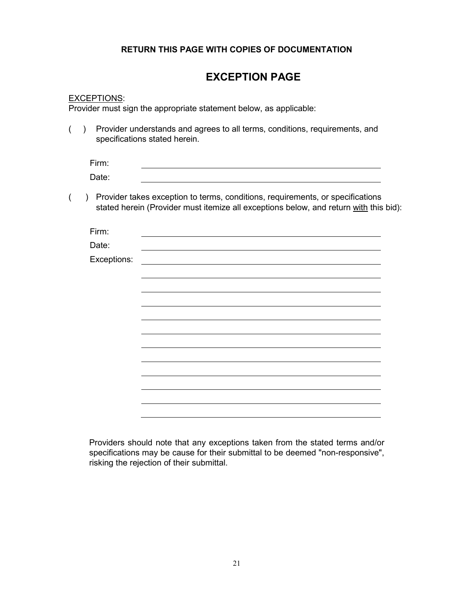#### **RETURN THIS PAGE WITH COPIES OF DOCUMENTATION**

## **EXCEPTION PAGE**

#### EXCEPTIONS:

Provider must sign the appropriate statement below, as applicable:

( ) Provider understands and agrees to all terms, conditions, requirements, and specifications stated herein.

| Firm: |  |  |
|-------|--|--|
| Date: |  |  |

( ) Provider takes exception to terms, conditions, requirements, or specifications stated herein (Provider must itemize all exceptions below, and return with this bid):

| Firm:       |  |
|-------------|--|
| Date:       |  |
| Exceptions: |  |
|             |  |
|             |  |
|             |  |
|             |  |
|             |  |
|             |  |
|             |  |
|             |  |
|             |  |
|             |  |
|             |  |
|             |  |

Providers should note that any exceptions taken from the stated terms and/or specifications may be cause for their submittal to be deemed "non-responsive", risking the rejection of their submittal.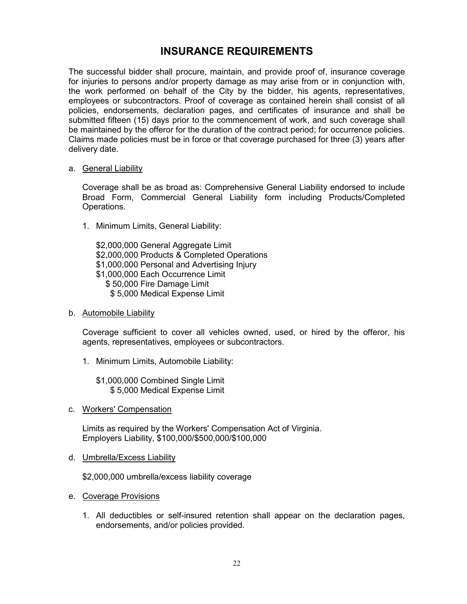### **INSURANCE REQUIREMENTS**

The successful bidder shall procure, maintain, and provide proof of, insurance coverage for injuries to persons and/or property damage as may arise from or in conjunction with, the work performed on behalf of the City by the bidder, his agents, representatives, employees or subcontractors. Proof of coverage as contained herein shall consist of all policies, endorsements, declaration pages, and certificates of insurance and shall be submitted fifteen (15) days prior to the commencement of work, and such coverage shall be maintained by the offeror for the duration of the contract period; for occurrence policies. Claims made policies must be in force or that coverage purchased for three (3) years after delivery date.

#### a. General Liability

Coverage shall be as broad as: Comprehensive General Liability endorsed to include Broad Form, Commercial General Liability form including Products/Completed Operations.

1. Minimum Limits, General Liability:

\$2,000,000 General Aggregate Limit \$2,000,000 Products & Completed Operations \$1,000,000 Personal and Advertising Injury \$1,000,000 Each Occurrence Limit \$ 50,000 Fire Damage Limit \$ 5,000 Medical Expense Limit

b. Automobile Liability

Coverage sufficient to cover all vehicles owned, used, or hired by the offeror, his agents, representatives, employees or subcontractors.

1. Minimum Limits, Automobile Liability:

\$1,000,000 Combined Single Limit \$ 5,000 Medical Expense Limit

c. Workers' Compensation

Limits as required by the Workers' Compensation Act of Virginia. Employers Liability, \$100,000/\$500,000/\$100,000

d. Umbrella/Excess Liability

\$2,000,000 umbrella/excess liability coverage

- e. Coverage Provisions
	- 1. All deductibles or self-insured retention shall appear on the declaration pages, endorsements, and/or policies provided.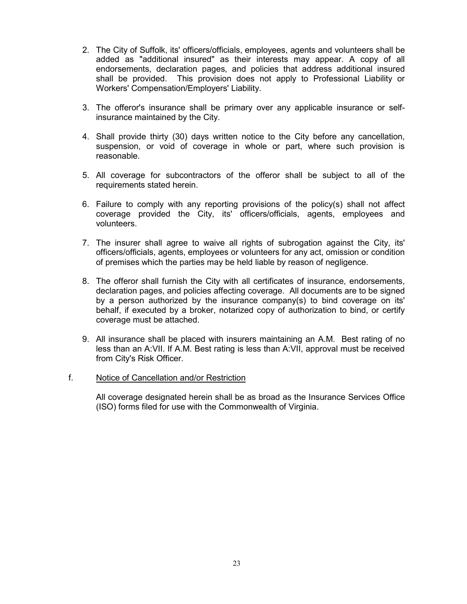- 2. The City of Suffolk, its' officers/officials, employees, agents and volunteers shall be added as "additional insured" as their interests may appear. A copy of all endorsements, declaration pages, and policies that address additional insured shall be provided. This provision does not apply to Professional Liability or Workers' Compensation/Employers' Liability.
- 3. The offeror's insurance shall be primary over any applicable insurance or selfinsurance maintained by the City.
- 4. Shall provide thirty (30) days written notice to the City before any cancellation, suspension, or void of coverage in whole or part, where such provision is reasonable.
- 5. All coverage for subcontractors of the offeror shall be subject to all of the requirements stated herein.
- 6. Failure to comply with any reporting provisions of the policy(s) shall not affect coverage provided the City, its' officers/officials, agents, employees and volunteers.
- 7. The insurer shall agree to waive all rights of subrogation against the City, its' officers/officials, agents, employees or volunteers for any act, omission or condition of premises which the parties may be held liable by reason of negligence.
- 8. The offeror shall furnish the City with all certificates of insurance, endorsements, declaration pages, and policies affecting coverage. All documents are to be signed by a person authorized by the insurance company(s) to bind coverage on its' behalf, if executed by a broker, notarized copy of authorization to bind, or certify coverage must be attached.
- 9. All insurance shall be placed with insurers maintaining an A.M. Best rating of no less than an A:VII. If A.M. Best rating is less than A:VII, approval must be received from City's Risk Officer.

#### f. Notice of Cancellation and/or Restriction

All coverage designated herein shall be as broad as the Insurance Services Office (ISO) forms filed for use with the Commonwealth of Virginia.